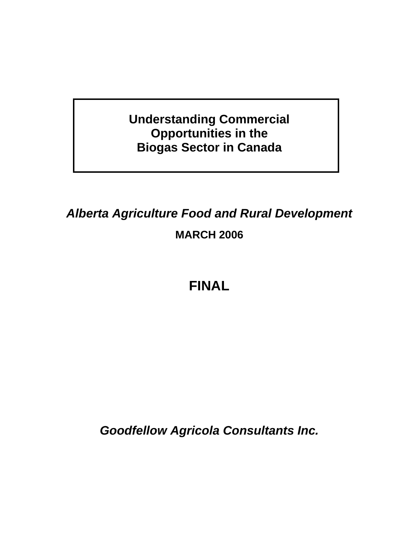**Understanding Commercial Opportunities in the Biogas Sector in Canada** 

*Alberta Agriculture Food and Rural Development*  **MARCH 2006** 

**FINAL** 

*Goodfellow Agricola Consultants Inc.*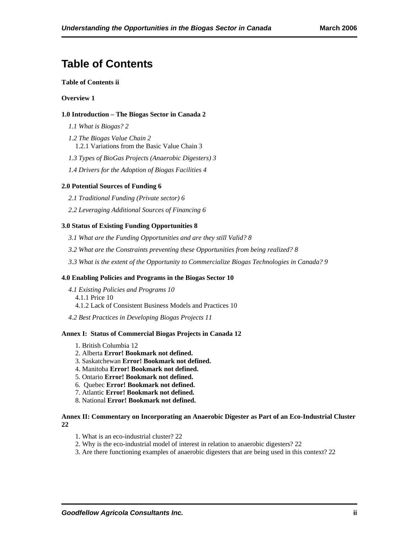# **Table of Contents**

#### **Table of Contents ii**

#### **Overview 1**

#### **1.0 Introduction – The Biogas Sector in Canada 2**

*1.1 What is Biogas? 2*

*1.2 The Biogas Value Chain 2* 1.2.1 Variations from the Basic Value Chain 3

*1.3 Types of BioGas Projects (Anaerobic Digesters) 3*

*1.4 Drivers for the Adoption of Biogas Facilities 4*

#### **2.0 Potential Sources of Funding 6**

*2.1 Traditional Funding (Private sector) 6*

*2.2 Leveraging Additional Sources of Financing 6*

#### **3.0 Status of Existing Funding Opportunities 8**

*3.1 What are the Funding Opportunities and are they still Valid? 8*

*3.2 What are the Constraints preventing these Opportunities from being realized? 8*

*3.3 What is the extent of the Opportunity to Commercialize Biogas Technologies in Canada? 9*

#### **4.0 Enabling Policies and Programs in the Biogas Sector 10**

*4.1 Existing Policies and Programs 10* 4.1.1 Price 10 4.1.2 Lack of Consistent Business Models and Practices 10

*4.2 Best Practices in Developing Biogas Projects 11*

#### **Annex I: Status of Commercial Biogas Projects in Canada 12**

- 1. British Columbia 12
- 2. Alberta **Error! Bookmark not defined.**
- 3. Saskatchewan **Error! Bookmark not defined.**
- 4. Manitoba **Error! Bookmark not defined.**
- 5. Ontario **Error! Bookmark not defined.**
- 6. Quebec **Error! Bookmark not defined.**
- 7. Atlantic **Error! Bookmark not defined.**
- 8. National **Error! Bookmark not defined.**

#### **Annex II: Commentary on Incorporating an Anaerobic Digester as Part of an Eco-Industrial Cluster 22**

- 1. What is an eco-industrial cluster? 22
- 2. Why is the eco-industrial model of interest in relation to anaerobic digesters? 22
- 3. Are there functioning examples of anaerobic digesters that are being used in this context? 22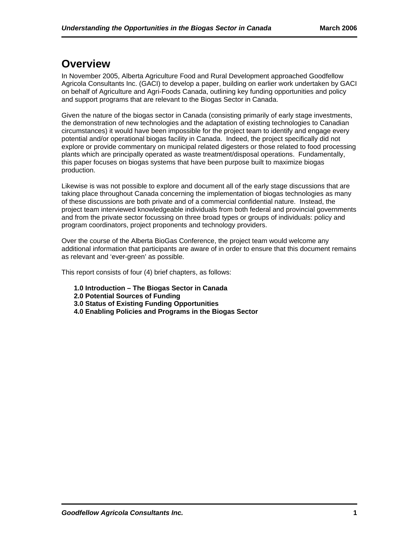# **Overview**

In November 2005, Alberta Agriculture Food and Rural Development approached Goodfellow Agricola Consultants Inc. (GACI) to develop a paper, building on earlier work undertaken by GACI on behalf of Agriculture and Agri-Foods Canada, outlining key funding opportunities and policy and support programs that are relevant to the Biogas Sector in Canada.

Given the nature of the biogas sector in Canada (consisting primarily of early stage investments, the demonstration of new technologies and the adaptation of existing technologies to Canadian circumstances) it would have been impossible for the project team to identify and engage every potential and/or operational biogas facility in Canada. Indeed, the project specifically did not explore or provide commentary on municipal related digesters or those related to food processing plants which are principally operated as waste treatment/disposal operations. Fundamentally, this paper focuses on biogas systems that have been purpose built to maximize biogas production.

Likewise is was not possible to explore and document all of the early stage discussions that are taking place throughout Canada concerning the implementation of biogas technologies as many of these discussions are both private and of a commercial confidential nature. Instead, the project team interviewed knowledgeable individuals from both federal and provincial governments and from the private sector focussing on three broad types or groups of individuals: policy and program coordinators, project proponents and technology providers.

Over the course of the Alberta BioGas Conference, the project team would welcome any additional information that participants are aware of in order to ensure that this document remains as relevant and 'ever-green' as possible.

This report consists of four (4) brief chapters, as follows:

- **1.0 Introduction The Biogas Sector in Canada**
- **2.0 Potential Sources of Funding**
- **3.0 Status of Existing Funding Opportunities**
- **4.0 Enabling Policies and Programs in the Biogas Sector**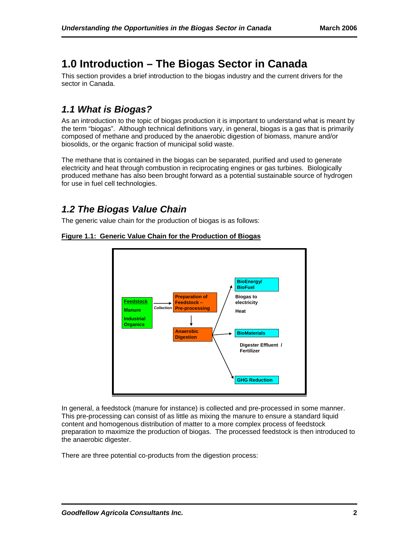# **1.0 Introduction – The Biogas Sector in Canada**

This section provides a brief introduction to the biogas industry and the current drivers for the sector in Canada.

## *1.1 What is Biogas?*

As an introduction to the topic of biogas production it is important to understand what is meant by the term "biogas". Although technical definitions vary, in general, biogas is a gas that is primarily composed of methane and produced by the anaerobic digestion of biomass, manure and/or biosolids, or the organic fraction of municipal solid waste.

The methane that is contained in the biogas can be separated, purified and used to generate electricity and heat through combustion in reciprocating engines or gas turbines. Biologically produced methane has also been brought forward as a potential sustainable source of hydrogen for use in fuel cell technologies.

## *1.2 The Biogas Value Chain*

The generic value chain for the production of biogas is as follows:



#### **Figure 1.1: Generic Value Chain for the Production of Biogas**

In general, a feedstock (manure for instance) is collected and pre-processed in some manner. This pre-processing can consist of as little as mixing the manure to ensure a standard liquid content and homogenous distribution of matter to a more complex process of feedstock preparation to maximize the production of biogas. The processed feedstock is then introduced to the anaerobic digester.

There are three potential co-products from the digestion process: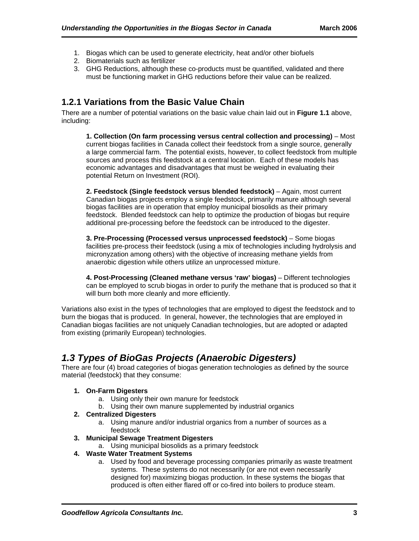- 1. Biogas which can be used to generate electricity, heat and/or other biofuels
- 2. Biomaterials such as fertilizer
- 3. GHG Reductions, although these co-products must be quantified, validated and there must be functioning market in GHG reductions before their value can be realized.

### **1.2.1 Variations from the Basic Value Chain**

There are a number of potential variations on the basic value chain laid out in **Figure 1.1** above, including:

**1. Collection (On farm processing versus central collection and processing)** – Most current biogas facilities in Canada collect their feedstock from a single source, generally a large commercial farm. The potential exists, however, to collect feedstock from multiple sources and process this feedstock at a central location. Each of these models has economic advantages and disadvantages that must be weighed in evaluating their potential Return on Investment (ROI).

**2. Feedstock (Single feedstock versus blended feedstock)** – Again, most current Canadian biogas projects employ a single feedstock, primarily manure although several biogas facilities are in operation that employ municipal biosolids as their primary feedstock. Blended feedstock can help to optimize the production of biogas but require additional pre-processing before the feedstock can be introduced to the digester.

**3. Pre-Processing (Processed versus unprocessed feedstock)** – Some biogas facilities pre-process their feedstock (using a mix of technologies including hydrolysis and micronyzation among others) with the objective of increasing methane yields from anaerobic digestion while others utilize an unprocessed mixture.

**4. Post-Processing (Cleaned methane versus 'raw' biogas)** – Different technologies can be employed to scrub biogas in order to purify the methane that is produced so that it will burn both more cleanly and more efficiently.

Variations also exist in the types of technologies that are employed to digest the feedstock and to burn the biogas that is produced. In general, however, the technologies that are employed in Canadian biogas facilities are not uniquely Canadian technologies, but are adopted or adapted from existing (primarily European) technologies.

## *1.3 Types of BioGas Projects (Anaerobic Digesters)*

There are four (4) broad categories of biogas generation technologies as defined by the source material (feedstock) that they consume:

#### **1. On-Farm Digesters**

- a. Using only their own manure for feedstock
- b. Using their own manure supplemented by industrial organics

#### **2. Centralized Digesters**

- a. Using manure and/or industrial organics from a number of sources as a feedstock
- **3. Municipal Sewage Treatment Digesters** 
	- a. Using municipal biosolids as a primary feedstock

#### **4. Waste Water Treatment Systems**

a. Used by food and beverage processing companies primarily as waste treatment systems. These systems do not necessarily (or are not even necessarily designed for) maximizing biogas production. In these systems the biogas that produced is often either flared off or co-fired into boilers to produce steam.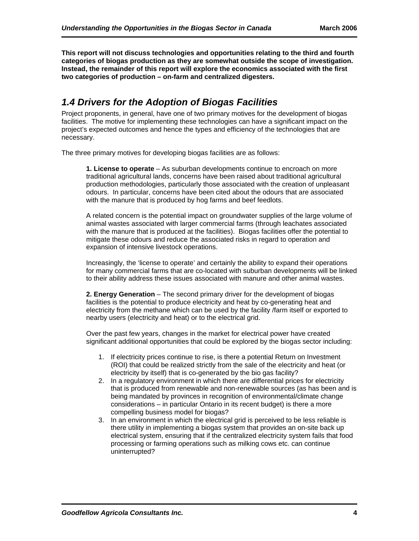**This report will not discuss technologies and opportunities relating to the third and fourth categories of biogas production as they are somewhat outside the scope of investigation. Instead, the remainder of this report will explore the economics associated with the first two categories of production – on-farm and centralized digesters.** 

## *1.4 Drivers for the Adoption of Biogas Facilities*

Project proponents, in general, have one of two primary motives for the development of biogas facilities. The motive for implementing these technologies can have a significant impact on the project's expected outcomes and hence the types and efficiency of the technologies that are necessary.

The three primary motives for developing biogas facilities are as follows:

**1. License to operate** – As suburban developments continue to encroach on more traditional agricultural lands, concerns have been raised about traditional agricultural production methodologies, particularly those associated with the creation of unpleasant odours. In particular, concerns have been cited about the odours that are associated with the manure that is produced by hog farms and beef feedlots.

A related concern is the potential impact on groundwater supplies of the large volume of animal wastes associated with larger commercial farms (through leachates associated with the manure that is produced at the facilities). Biogas facilities offer the potential to mitigate these odours and reduce the associated risks in regard to operation and expansion of intensive livestock operations.

Increasingly, the 'license to operate' and certainly the ability to expand their operations for many commercial farms that are co-located with suburban developments will be linked to their ability address these issues associated with manure and other animal wastes.

**2. Energy Generation** – The second primary driver for the development of biogas facilities is the potential to produce electricity and heat by co-generating heat and electricity from the methane which can be used by the facility /farm itself or exported to nearby users (electricity and heat) or to the electrical grid.

Over the past few years, changes in the market for electrical power have created significant additional opportunities that could be explored by the biogas sector including:

- 1. If electricity prices continue to rise, is there a potential Return on Investment (ROI) that could be realized strictly from the sale of the electricity and heat (or electricity by itself) that is co-generated by the bio gas facility?
- 2. In a regulatory environment in which there are differential prices for electricity that is produced from renewable and non-renewable sources (as has been and is being mandated by provinces in recognition of environmental/climate change considerations – in particular Ontario in its recent budget) is there a more compelling business model for biogas?
- 3. In an environment in which the electrical grid is perceived to be less reliable is there utility in implementing a biogas system that provides an on-site back up electrical system, ensuring that if the centralized electricity system fails that food processing or farming operations such as milking cows etc. can continue uninterrupted?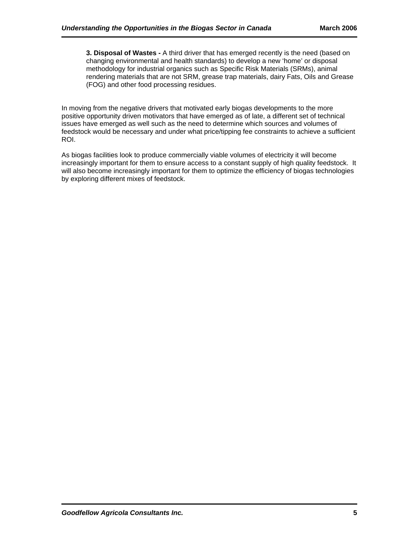**3. Disposal of Wastes -** A third driver that has emerged recently is the need (based on changing environmental and health standards) to develop a new 'home' or disposal methodology for industrial organics such as Specific Risk Materials (SRMs), animal rendering materials that are not SRM, grease trap materials, dairy Fats, Oils and Grease (FOG) and other food processing residues.

In moving from the negative drivers that motivated early biogas developments to the more positive opportunity driven motivators that have emerged as of late, a different set of technical issues have emerged as well such as the need to determine which sources and volumes of feedstock would be necessary and under what price/tipping fee constraints to achieve a sufficient ROI.

As biogas facilities look to produce commercially viable volumes of electricity it will become increasingly important for them to ensure access to a constant supply of high quality feedstock. It will also become increasingly important for them to optimize the efficiency of biogas technologies by exploring different mixes of feedstock.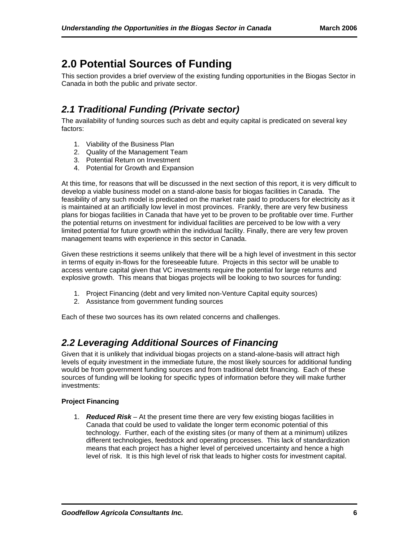# **2.0 Potential Sources of Funding**

This section provides a brief overview of the existing funding opportunities in the Biogas Sector in Canada in both the public and private sector.

## *2.1 Traditional Funding (Private sector)*

The availability of funding sources such as debt and equity capital is predicated on several key factors:

- 1. Viability of the Business Plan
- 2. Quality of the Management Team
- 3. Potential Return on Investment
- 4. Potential for Growth and Expansion

At this time, for reasons that will be discussed in the next section of this report, it is very difficult to develop a viable business model on a stand-alone basis for biogas facilities in Canada. The feasibility of any such model is predicated on the market rate paid to producers for electricity as it is maintained at an artificially low level in most provinces. Frankly, there are very few business plans for biogas facilities in Canada that have yet to be proven to be profitable over time. Further the potential returns on investment for individual facilities are perceived to be low with a very limited potential for future growth within the individual facility. Finally, there are very few proven management teams with experience in this sector in Canada.

Given these restrictions it seems unlikely that there will be a high level of investment in this sector in terms of equity in-flows for the foreseeable future. Projects in this sector will be unable to access venture capital given that VC investments require the potential for large returns and explosive growth. This means that biogas projects will be looking to two sources for funding:

- 1. Project Financing (debt and very limited non-Venture Capital equity sources)
- 2. Assistance from government funding sources

Each of these two sources has its own related concerns and challenges.

## *2.2 Leveraging Additional Sources of Financing*

Given that it is unlikely that individual biogas projects on a stand-alone-basis will attract high levels of equity investment in the immediate future, the most likely sources for additional funding would be from government funding sources and from traditional debt financing. Each of these sources of funding will be looking for specific types of information before they will make further investments:

#### **Project Financing**

1. *Reduced Risk* – At the present time there are very few existing biogas facilities in Canada that could be used to validate the longer term economic potential of this technology. Further, each of the existing sites (or many of them at a minimum) utilizes different technologies, feedstock and operating processes. This lack of standardization means that each project has a higher level of perceived uncertainty and hence a high level of risk. It is this high level of risk that leads to higher costs for investment capital.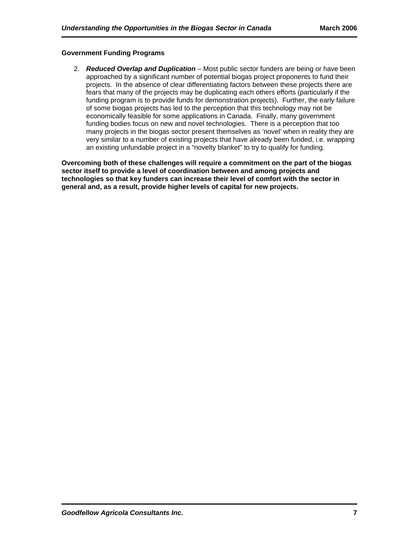#### **Government Funding Programs**

2. *Reduced Overlap and Duplication* – Most public sector funders are being or have been approached by a significant number of potential biogas project proponents to fund their projects. In the absence of clear differentiating factors between these projects there are fears that many of the projects may be duplicating each others efforts (particularly if the funding program is to provide funds for demonstration projects). Further, the early failure of some biogas projects has led to the perception that this technology may not be economically feasible for some applications in Canada. Finally, many government funding bodies focus on new and novel technologies. There is a perception that too many projects in the biogas sector present themselves as 'novel' when in reality they are very similar to a number of existing projects that have already been funded, i.e. wrapping an existing unfundable project in a "novelty blanket" to try to qualify for funding.

**Overcoming both of these challenges will require a commitment on the part of the biogas sector itself to provide a level of coordination between and among projects and technologies so that key funders can increase their level of comfort with the sector in general and, as a result, provide higher levels of capital for new projects.**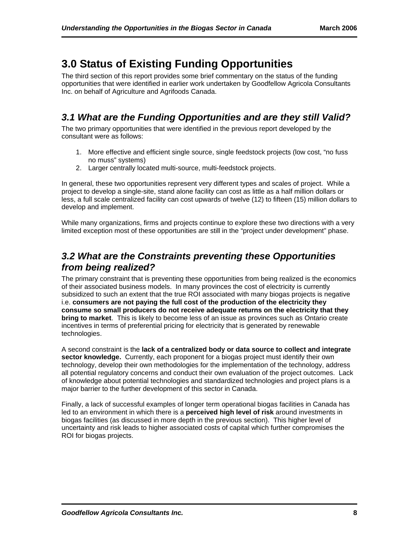# **3.0 Status of Existing Funding Opportunities**

The third section of this report provides some brief commentary on the status of the funding opportunities that were identified in earlier work undertaken by Goodfellow Agricola Consultants Inc. on behalf of Agriculture and Agrifoods Canada.

## *3.1 What are the Funding Opportunities and are they still Valid?*

The two primary opportunities that were identified in the previous report developed by the consultant were as follows:

- 1. More effective and efficient single source, single feedstock projects (low cost, "no fuss no muss" systems)
- 2. Larger centrally located multi-source, multi-feedstock projects.

In general, these two opportunities represent very different types and scales of project. While a project to develop a single-site, stand alone facility can cost as little as a half million dollars or less, a full scale centralized facility can cost upwards of twelve (12) to fifteen (15) million dollars to develop and implement.

While many organizations, firms and projects continue to explore these two directions with a very limited exception most of these opportunities are still in the "project under development" phase.

### *3.2 What are the Constraints preventing these Opportunities from being realized?*

The primary constraint that is preventing these opportunities from being realized is the economics of their associated business models. In many provinces the cost of electricity is currently subsidized to such an extent that the true ROI associated with many biogas projects is negative i.e. **consumers are not paying the full cost of the production of the electricity they consume so small producers do not receive adequate returns on the electricity that they bring to market**. This is likely to become less of an issue as provinces such as Ontario create incentives in terms of preferential pricing for electricity that is generated by renewable technologies.

A second constraint is the **lack of a centralized body or data source to collect and integrate sector knowledge.** Currently, each proponent for a biogas project must identify their own technology, develop their own methodologies for the implementation of the technology, address all potential regulatory concerns and conduct their own evaluation of the project outcomes. Lack of knowledge about potential technologies and standardized technologies and project plans is a major barrier to the further development of this sector in Canada.

Finally, a lack of successful examples of longer term operational biogas facilities in Canada has led to an environment in which there is a **perceived high level of risk** around investments in biogas facilities (as discussed in more depth in the previous section). This higher level of uncertainty and risk leads to higher associated costs of capital which further compromises the ROI for biogas projects.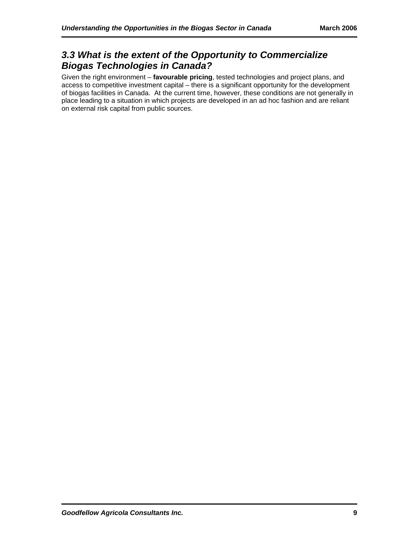## *3.3 What is the extent of the Opportunity to Commercialize Biogas Technologies in Canada?*

Given the right environment – **favourable pricing**, tested technologies and project plans, and access to competitive investment capital – there is a significant opportunity for the development of biogas facilities in Canada. At the current time, however, these conditions are not generally in place leading to a situation in which projects are developed in an ad hoc fashion and are reliant on external risk capital from public sources.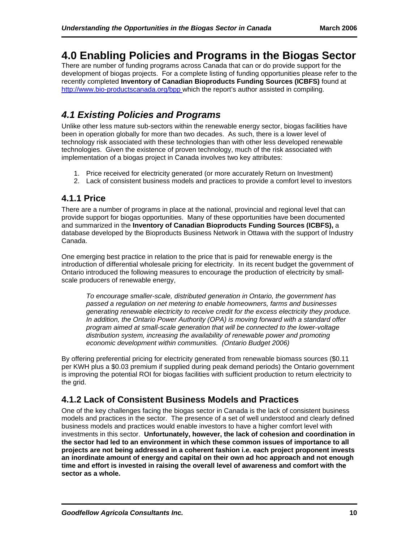# **4.0 Enabling Policies and Programs in the Biogas Sector**

There are number of funding programs across Canada that can or do provide support for the development of biogas projects. For a complete listing of funding opportunities please refer to the recently completed **Inventory of Canadian Bioproducts Funding Sources (ICBFS)** found at <http://www.bio-productscanada.org/bpp> which the report's author assisted in compiling.

## *4.1 Existing Policies and Programs*

Unlike other less mature sub-sectors within the renewable energy sector, biogas facilities have been in operation globally for more than two decades. As such, there is a lower level of technology risk associated with these technologies than with other less developed renewable technologies. Given the existence of proven technology, much of the risk associated with implementation of a biogas project in Canada involves two key attributes:

- 1. Price received for electricity generated (or more accurately Return on Investment)
- 2. Lack of consistent business models and practices to provide a comfort level to investors

### **4.1.1 Price**

There are a number of programs in place at the national, provincial and regional level that can provide support for biogas opportunities. Many of these opportunities have been documented and summarized in the **Inventory of Canadian Bioproducts Funding Sources (ICBFS),** a database developed by the Bioproducts Business Network in Ottawa with the support of Industry Canada.

One emerging best practice in relation to the price that is paid for renewable energy is the introduction of differential wholesale pricing for electricity. In its recent budget the government of Ontario introduced the following measures to encourage the production of electricity by smallscale producers of renewable energy,

*To encourage smaller-scale, distributed generation in Ontario, the government has passed a regulation on net metering to enable homeowners, farms and businesses generating renewable electricity to receive credit for the excess electricity they produce. In addition, the Ontario Power Authority (OPA) is moving forward with a standard offer program aimed at small-scale generation that will be connected to the lower-voltage distribution system, increasing the availability of renewable power and promoting economic development within communities. (Ontario Budget 2006)* 

By offering preferential pricing for electricity generated from renewable biomass sources (\$0.11 per KWH plus a \$0.03 premium if supplied during peak demand periods) the Ontario government is improving the potential ROI for biogas facilities with sufficient production to return electricity to the arid.

## **4.1.2 Lack of Consistent Business Models and Practices**

One of the key challenges facing the biogas sector in Canada is the lack of consistent business models and practices in the sector. The presence of a set of well understood and clearly defined business models and practices would enable investors to have a higher comfort level with investments in this sector. **Unfortunately, however, the lack of cohesion and coordination in the sector had led to an environment in which these common issues of importance to all projects are not being addressed in a coherent fashion i.e. each project proponent invests an inordinate amount of energy and capital on their own ad hoc approach and not enough time and effort is invested in raising the overall level of awareness and comfort with the sector as a whole.**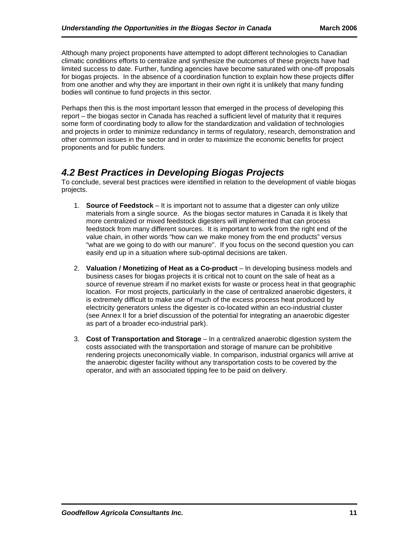Although many project proponents have attempted to adopt different technologies to Canadian climatic conditions efforts to centralize and synthesize the outcomes of these projects have had limited success to date. Further, funding agencies have become saturated with one-off proposals for biogas projects. In the absence of a coordination function to explain how these projects differ from one another and why they are important in their own right it is unlikely that many funding bodies will continue to fund projects in this sector.

Perhaps then this is the most important lesson that emerged in the process of developing this report – the biogas sector in Canada has reached a sufficient level of maturity that it requires some form of coordinating body to allow for the standardization and validation of technologies and projects in order to minimize redundancy in terms of regulatory, research, demonstration and other common issues in the sector and in order to maximize the economic benefits for project proponents and for public funders.

## *4.2 Best Practices in Developing Biogas Projects*

To conclude, several best practices were identified in relation to the development of viable biogas projects.

- 1. **Source of Feedstock**  It is important not to assume that a digester can only utilize materials from a single source. As the biogas sector matures in Canada it is likely that more centralized or mixed feedstock digesters will implemented that can process feedstock from many different sources. It is important to work from the right end of the value chain, in other words "how can we make money from the end products" versus "what are we going to do with our manure". If you focus on the second question you can easily end up in a situation where sub-optimal decisions are taken.
- 2. **Valuation / Monetizing of Heat as a Co-product**  In developing business models and business cases for biogas projects it is critical not to count on the sale of heat as a source of revenue stream if no market exists for waste or process heat in that geographic location. For most projects, particularly in the case of centralized anaerobic digesters, it is extremely difficult to make use of much of the excess process heat produced by electricity generators unless the digester is co-located within an eco-industrial cluster (see Annex II for a brief discussion of the potential for integrating an anaerobic digester as part of a broader eco-industrial park).
- 3. **Cost of Transportation and Storage**  In a centralized anaerobic digestion system the costs associated with the transportation and storage of manure can be prohibitive rendering projects uneconomically viable. In comparison, industrial organics will arrive at the anaerobic digester facility without any transportation costs to be covered by the operator, and with an associated tipping fee to be paid on delivery.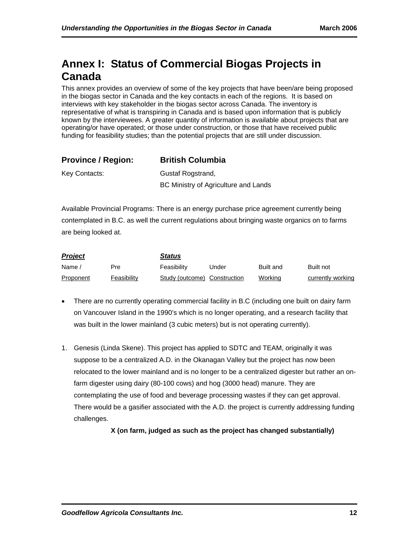# **Annex I: Status of Commercial Biogas Projects in Canada**

This annex provides an overview of some of the key projects that have been/are being proposed in the biogas sector in Canada and the key contacts in each of the regions. It is based on interviews with key stakeholder in the biogas sector across Canada. The inventory is representative of what is transpiring in Canada and is based upon information that is publicly known by the interviewees. A greater quantity of information is available about projects that are operating/or have operated; or those under construction, or those that have received public funding for feasibility studies; than the potential projects that are still under discussion.

| <b>Province / Region:</b> | <b>British Columbia</b> |
|---------------------------|-------------------------|
|                           |                         |

Key Contacts: Gustaf Rogstrand, BC Ministry of Agriculture and Lands

Available Provincial Programs: There is an energy purchase price agreement currently being contemplated in B.C. as well the current regulations about bringing waste organics on to farms are being looked at.

| <b>Project</b> |             | Status                       |       |                  |                   |  |
|----------------|-------------|------------------------------|-------|------------------|-------------------|--|
| Name,          | Pre         | Feasibility                  | Under | <b>Built and</b> | Built not         |  |
| Proponent      | Feasibility | Study (outcome) Construction |       | Workina          | currently working |  |

- There are no currently operating commercial facility in B.C (including one built on dairy farm on Vancouver Island in the 1990's which is no longer operating, and a research facility that was built in the lower mainland (3 cubic meters) but is not operating currently).
- 1. Genesis (Linda Skene). This project has applied to SDTC and TEAM, originally it was suppose to be a centralized A.D. in the Okanagan Valley but the project has now been relocated to the lower mainland and is no longer to be a centralized digester but rather an onfarm digester using dairy (80-100 cows) and hog (3000 head) manure. They are contemplating the use of food and beverage processing wastes if they can get approval. There would be a gasifier associated with the A.D. the project is currently addressing funding challenges.

**X (on farm, judged as such as the project has changed substantially)**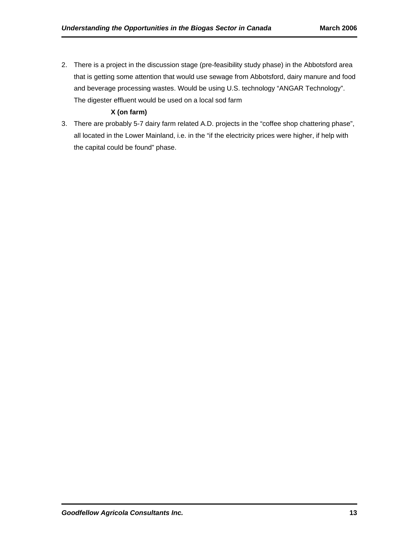2. There is a project in the discussion stage (pre-feasibility study phase) in the Abbotsford area that is getting some attention that would use sewage from Abbotsford, dairy manure and food and beverage processing wastes. Would be using U.S. technology "ANGAR Technology". The digester effluent would be used on a local sod farm

#### **X (on farm)**

3. There are probably 5-7 dairy farm related A.D. projects in the "coffee shop chattering phase", all located in the Lower Mainland, i.e. in the "if the electricity prices were higher, if help with the capital could be found" phase.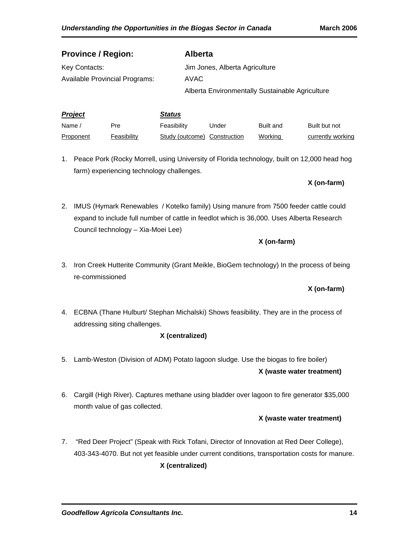| <b>Province / Region:</b>             |               | <b>Alberta</b>                                  |
|---------------------------------------|---------------|-------------------------------------------------|
| Key Contacts:                         |               | Jim Jones, Alberta Agriculture                  |
| <b>Available Provincial Programs:</b> |               | AVAC                                            |
|                                       |               | Alberta Environmentally Sustainable Agriculture |
|                                       |               |                                                 |
| <b>Project</b>                        | <b>Status</b> |                                                 |

| <u> De Carlos de Carlos de Carlos de Carlos de Carlos de Carlos de Carlos de Carlos de Carlos de Carlos de Carlos de Carlos de Carlos de Carlos de Carlos de Carlos de Carlos de Carlos de Carlos de Carlos de Carlos de Carlos </u> |             |                              |       |           |                   |
|--------------------------------------------------------------------------------------------------------------------------------------------------------------------------------------------------------------------------------------|-------------|------------------------------|-------|-----------|-------------------|
| Name /                                                                                                                                                                                                                               | Pre         | Feasibility                  | Jnder | Built and | Built but not     |
| <b>Proponent</b>                                                                                                                                                                                                                     | Feasibility | Study (outcome) Construction |       | Working   | currently working |

1. Peace Pork (Rocky Morrell, using University of Florida technology, built on 12,000 head hog farm) experiencing technology challenges.

**X (on-farm)** 

2. IMUS (Hymark Renewables / Kotelko family) Using manure from 7500 feeder cattle could expand to include full number of cattle in feedlot which is 36,000. Uses Alberta Research Council technology – Xia-Moei Lee)

#### **X (on-farm)**

3. Iron Creek Hutterite Community (Grant Meikle, BioGem technology) In the process of being re-commissioned

#### **X (on-farm)**

4. ECBNA (Thane Hulburt/ Stephan Michalski) Shows feasibility. They are in the process of addressing siting challenges.

#### **X (centralized)**

- 5. Lamb-Weston (Division of ADM) Potato lagoon sludge. Use the biogas to fire boiler) **X (waste water treatment)**
- 6. Cargill (High River). Captures methane using bladder over lagoon to fire generator \$35,000 month value of gas collected.

#### **X (waste water treatment)**

7. "Red Deer Project" (Speak with Rick Tofani, Director of Innovation at Red Deer College), 403-343-4070. But not yet feasible under current conditions, transportation costs for manure.

#### **X (centralized)**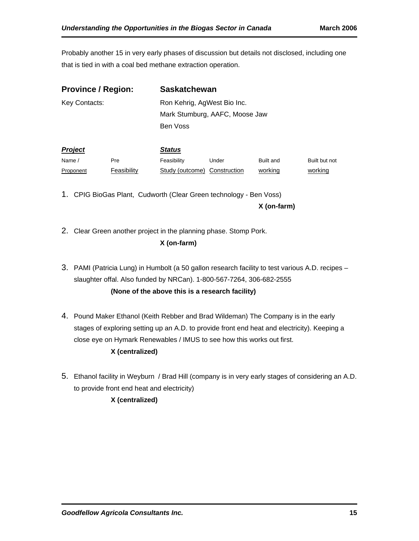Probably another 15 in very early phases of discussion but details not disclosed, including one that is tied in with a coal bed methane extraction operation.

| <b>Province / Region:</b> |             |               | <b>Saskatchewan</b>            |           |               |  |  |
|---------------------------|-------------|---------------|--------------------------------|-----------|---------------|--|--|
| Key Contacts:             |             |               | Ron Kehrig, AgWest Bio Inc.    |           |               |  |  |
|                           |             |               | Mark Stumburg, AAFC, Moose Jaw |           |               |  |  |
|                           |             | Ben Voss      |                                |           |               |  |  |
| Project                   |             | <b>Status</b> |                                |           |               |  |  |
| Name /                    | Pre         | Feasibility   | Under                          | Built and | Built but not |  |  |
| Proponent                 | Feasibility |               | Study (outcome) Construction   | working   | working       |  |  |

1. CPIG BioGas Plant, Cudworth (Clear Green technology - Ben Voss)

**X (on-farm)** 

2. Clear Green another project in the planning phase. Stomp Pork.

### **X (on-farm)**

3. PAMI (Patricia Lung) in Humbolt (a 50 gallon research facility to test various A.D. recipes – slaughter offal. Also funded by NRCan). 1-800-567-7264, 306-682-2555

**(None of the above this is a research facility)**

4. Pound Maker Ethanol (Keith Rebber and Brad Wildeman) The Company is in the early stages of exploring setting up an A.D. to provide front end heat and electricity). Keeping a close eye on Hymark Renewables / IMUS to see how this works out first.

#### **X (centralized)**

5. Ethanol facility in Weyburn / Brad Hill (company is in very early stages of considering an A.D. to provide front end heat and electricity)

**X (centralized)**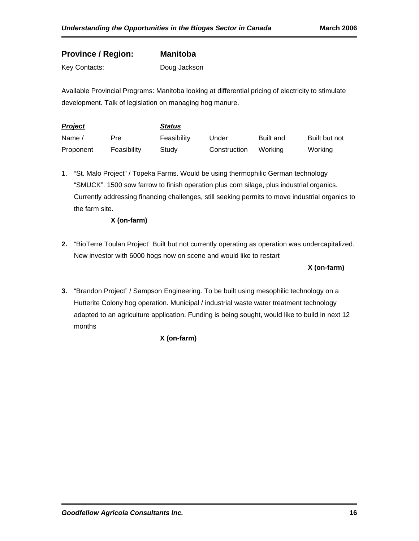### **Province / Region: Manitoba**

Key Contacts: Doug Jackson

Available Provincial Programs: Manitoba looking at differential pricing of electricity to stimulate development. Talk of legislation on managing hog manure.

| <b>Project</b> |             | <b>Status</b> |              |                  |               |
|----------------|-------------|---------------|--------------|------------------|---------------|
| Name /         | Pre         | Feasibility   | Under        | <b>Built and</b> | Built but not |
| Proponent      | Feasibility | Study         | Construction | Workina          | Workina       |

1. "St. Malo Project" / Topeka Farms. Would be using thermophilic German technology "SMUCK". 1500 sow farrow to finish operation plus corn silage, plus industrial organics. Currently addressing financing challenges, still seeking permits to move industrial organics to the farm site.

#### **X (on-farm)**

**2.** "BioTerre Toulan Project" Built but not currently operating as operation was undercapitalized. New investor with 6000 hogs now on scene and would like to restart

#### **X (on-farm)**

**3.** "Brandon Project" / Sampson Engineering. To be built using mesophilic technology on a Hutterite Colony hog operation. Municipal / industrial waste water treatment technology adapted to an agriculture application. Funding is being sought, would like to build in next 12 months

#### **X (on-farm)**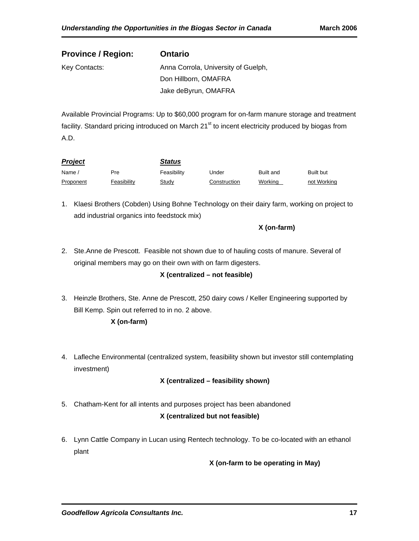| <b>Province / Region:</b> | <b>Ontario</b>                      |
|---------------------------|-------------------------------------|
| Key Contacts:             | Anna Corrola, University of Guelph, |
|                           | Don Hillborn, OMAFRA                |
|                           | Jake deByrun, OMAFRA                |

Available Provincial Programs: Up to \$60,000 program for on-farm manure storage and treatment facility. Standard pricing introduced on March 21<sup>st</sup> to incent electricity produced by biogas from A.D.

| <b>Project</b> |             | <b>Status</b> |              |           |             |
|----------------|-------------|---------------|--------------|-----------|-------------|
| Name           | Pre         | Feasibility   | Under        | Built and | Built but   |
| Proponent      | Feasibility | <b>Study</b>  | Construction | Working   | not Working |

1. Klaesi Brothers (Cobden) Using Bohne Technology on their dairy farm, working on project to add industrial organics into feedstock mix)

#### **X (on-farm)**

2. Ste.Anne de Prescott. Feasible not shown due to of hauling costs of manure. Several of original members may go on their own with on farm digesters.

#### **X (centralized – not feasible)**

3. Heinzle Brothers, Ste. Anne de Prescott, 250 dairy cows / Keller Engineering supported by Bill Kemp. Spin out referred to in no. 2 above.

#### **X (on-farm)**

4. Lafleche Environmental (centralized system, feasibility shown but investor still contemplating investment)

### **X (centralized – feasibility shown)**

5. Chatham-Kent for all intents and purposes project has been abandoned

#### **X (centralized but not feasible)**

6. Lynn Cattle Company in Lucan using Rentech technology. To be co-located with an ethanol plant

**X (on-farm to be operating in May)**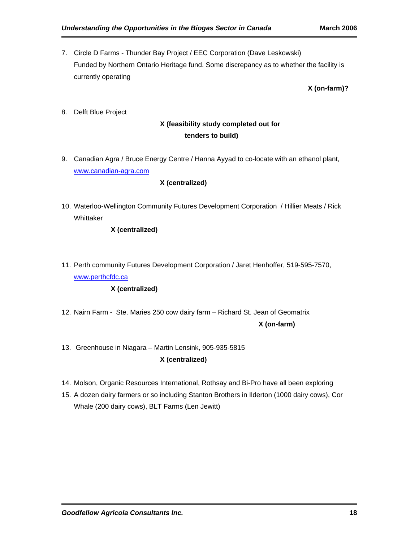7. Circle D Farms - Thunder Bay Project / EEC Corporation (Dave Leskowski) Funded by Northern Ontario Heritage fund. Some discrepancy as to whether the facility is currently operating

**X (on-farm)?** 

8. Delft Blue Project

### **X (feasibility study completed out for tenders to build)**

9. Canadian Agra / Bruce Energy Centre / Hanna Ayyad to co-locate with an ethanol plant, [www.canadian-agra.com](http://www.canadian-agra.com/)

#### **X (centralized)**

10. Waterloo-Wellington Community Futures Development Corporation / Hillier Meats / Rick Whittaker

#### **X (centralized)**

11. Perth community Futures Development Corporation / Jaret Henhoffer, 519-595-7570, [www.perthcfdc.ca](http://www.perthcfdc.ca/)

#### **X (centralized)**

- 12. Nairn Farm Ste. Maries 250 cow dairy farm Richard St. Jean of Geomatrix **X (on-farm)**
- 13. Greenhouse in Niagara Martin Lensink, 905-935-5815 **X (centralized)**
- 14. Molson, Organic Resources International, Rothsay and Bi-Pro have all been exploring
- 15. A dozen dairy farmers or so including Stanton Brothers in Ilderton (1000 dairy cows), Cor Whale (200 dairy cows), BLT Farms (Len Jewitt)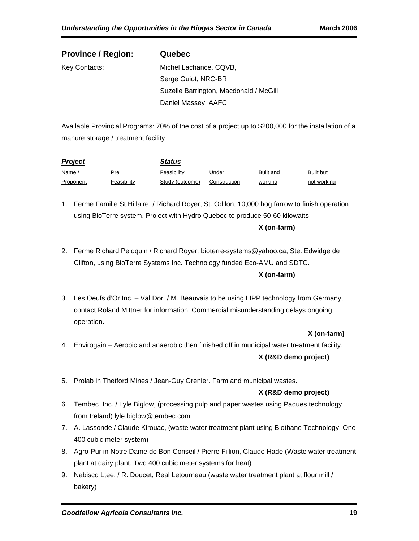| <b>Province / Region:</b> | Quebec                                 |
|---------------------------|----------------------------------------|
| Key Contacts:             | Michel Lachance, CQVB,                 |
|                           | Serge Guiot, NRC-BRI                   |
|                           | Suzelle Barrington, Macdonald / McGill |
|                           | Daniel Massey, AAFC                    |

Available Provincial Programs: 70% of the cost of a project up to \$200,000 for the installation of a manure storage / treatment facility

| <b>Project</b> |             | <b>Status</b>   |              |           |             |
|----------------|-------------|-----------------|--------------|-----------|-------------|
| Name           | Pre         | Feasibility     | Jnder        | Built and | Built but   |
| Proponent      | Feasibilitv | Study (outcome) | Construction | working   | not working |

- 1. Ferme Famille St.Hillaire, / Richard Royer, St. Odilon, 10,000 hog farrow to finish operation using BioTerre system. Project with Hydro Quebec to produce 50-60 kilowatts **X (on-farm)**
- 2. Ferme Richard Peloquin / Richard Royer, bioterre-systems@yahoo.ca, Ste. Edwidge de Clifton, using BioTerre Systems Inc. Technology funded Eco-AMU and SDTC. **X (on-farm)**
- 3. Les Oeufs d'Or Inc. Val Dor / M. Beauvais to be using LIPP technology from Germany, contact Roland Mittner for information. Commercial misunderstanding delays ongoing operation.

#### **X (on-farm)**

- 4. Envirogain Aerobic and anaerobic then finished off in municipal water treatment facility. **X (R&D demo project)**
- 5. Prolab in Thetford Mines / Jean-Guy Grenier. Farm and municipal wastes.

#### **X (R&D demo project)**

- 6. Tembec Inc. / Lyle Biglow, (processing pulp and paper wastes using Paques technology from Ireland) lyle.biglow@tembec.com
- 7. A. Lassonde / Claude Kirouac, (waste water treatment plant using Biothane Technology. One 400 cubic meter system)
- 8. Agro-Pur in Notre Dame de Bon Conseil / Pierre Fillion, Claude Hade (Waste water treatment plant at dairy plant. Two 400 cubic meter systems for heat)
- 9. Nabisco Ltee. / R. Doucet, Real Letourneau (waste water treatment plant at flour mill / bakery)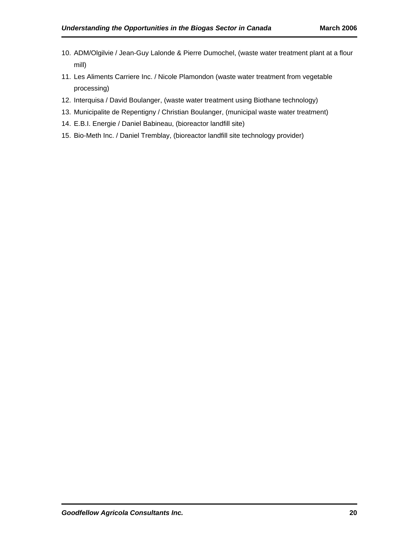- 10. ADM/Olgilvie / Jean-Guy Lalonde & Pierre Dumochel, (waste water treatment plant at a flour mill)
- 11. Les Aliments Carriere Inc. / Nicole Plamondon (waste water treatment from vegetable processing)
- 12. Interquisa / David Boulanger, (waste water treatment using Biothane technology)
- 13. Municipalite de Repentigny / Christian Boulanger, (municipal waste water treatment)
- 14. E.B.I. Energie / Daniel Babineau, (bioreactor landfill site)
- 15. Bio-Meth Inc. / Daniel Tremblay, (bioreactor landfill site technology provider)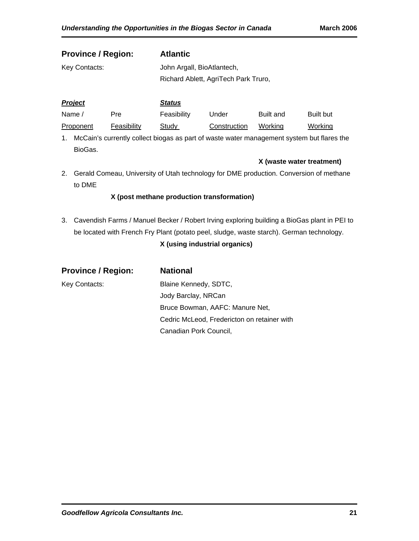| <b>Province / Region:</b> | <b>Atlantic</b>                      |
|---------------------------|--------------------------------------|
| Key Contacts:             | John Argall, BioAtlantech,           |
|                           | Richard Ablett, AgriTech Park Truro, |
|                           |                                      |

| Project   |             | <b>Status</b> |              |                  |                  |
|-----------|-------------|---------------|--------------|------------------|------------------|
| Name /    | Pre         | Feasibility   | Under        | <b>Built and</b> | <b>Built but</b> |
| Proponent | Feasibility | Studv         | Construction | Workina          | Working          |

1. McCain's currently collect biogas as part of waste water management system but flares the BioGas.

**X (waste water treatment)** 

2. Gerald Comeau, University of Utah technology for DME production. Conversion of methane to DME

#### **X (post methane production transformation)**

3. Cavendish Farms / Manuel Becker / Robert Irving exploring building a BioGas plant in PEI to be located with French Fry Plant (potato peel, sludge, waste starch). German technology.

#### **X (using industrial organics)**

| <b>Province / Region:</b> | <b>National</b>                             |
|---------------------------|---------------------------------------------|
| Key Contacts:             | Blaine Kennedy, SDTC,                       |
|                           | Jody Barclay, NRCan                         |
|                           | Bruce Bowman, AAFC: Manure Net,             |
|                           | Cedric McLeod, Fredericton on retainer with |
|                           | Canadian Pork Council,                      |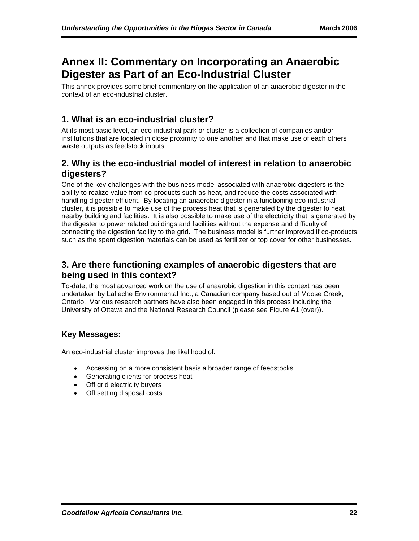# **Annex II: Commentary on Incorporating an Anaerobic Digester as Part of an Eco-Industrial Cluster**

This annex provides some brief commentary on the application of an anaerobic digester in the context of an eco-industrial cluster.

### **1. What is an eco-industrial cluster?**

At its most basic level, an eco-industrial park or cluster is a collection of companies and/or institutions that are located in close proximity to one another and that make use of each others waste outputs as feedstock inputs.

### **2. Why is the eco-industrial model of interest in relation to anaerobic digesters?**

One of the key challenges with the business model associated with anaerobic digesters is the ability to realize value from co-products such as heat, and reduce the costs associated with handling digester effluent. By locating an anaerobic digester in a functioning eco-industrial cluster, it is possible to make use of the process heat that is generated by the digester to heat nearby building and facilities. It is also possible to make use of the electricity that is generated by the digester to power related buildings and facilities without the expense and difficulty of connecting the digestion facility to the grid. The business model is further improved if co-products such as the spent digestion materials can be used as fertilizer or top cover for other businesses.

### **3. Are there functioning examples of anaerobic digesters that are being used in this context?**

To-date, the most advanced work on the use of anaerobic digestion in this context has been undertaken by Lafleche Environmental Inc., a Canadian company based out of Moose Creek, Ontario. Various research partners have also been engaged in this process including the University of Ottawa and the National Research Council (please see Figure A1 (over)).

### **Key Messages:**

An eco-industrial cluster improves the likelihood of:

- Accessing on a more consistent basis a broader range of feedstocks
- Generating clients for process heat
- Off grid electricity buyers
- Off setting disposal costs